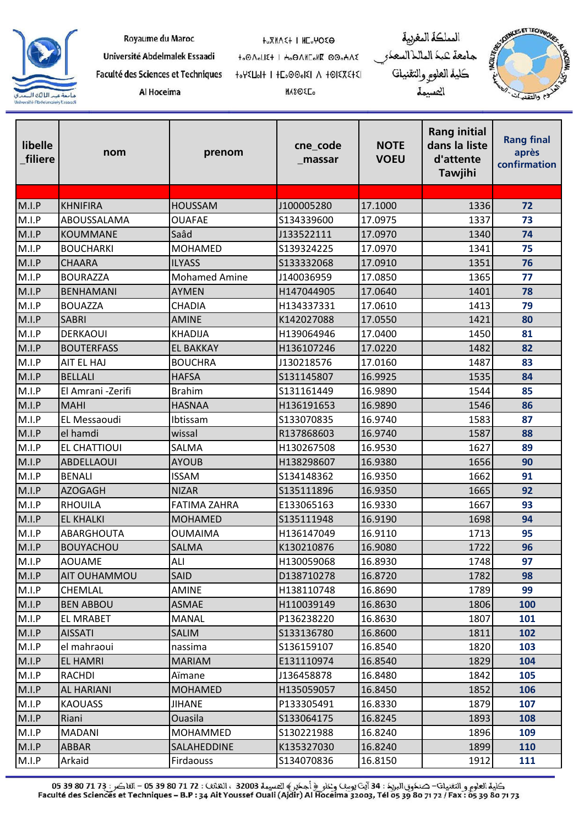| Fa |
|----|
|    |

| Royaume du Maroc                  | <b>HOXMASH I HEOMOSO</b>       | المملكة المغربية        |
|-----------------------------------|--------------------------------|-------------------------|
| Université Abdelmalek Essaadi     | t.OA.U2+   H.OAME.MK OO.HAZ    | جامعة كبك المالك السعكو |
| aculté des Sciences et Techniques | HOLEXERIA A ISIGOONE I HOLEXAN | كلية العلوم والتقنيات   |
| Al Hoceima                        | <b>HASOLE</b>                  | التسمة                  |



| libelle<br>filiere | nom               | prenom               | cne_code<br>_massar | <b>NOTE</b><br><b>VOEU</b> | <b>Rang initial</b><br>dans la liste<br>d'attente<br><b>Tawjihi</b> | <b>Rang final</b><br>après<br>confirmation |
|--------------------|-------------------|----------------------|---------------------|----------------------------|---------------------------------------------------------------------|--------------------------------------------|
|                    |                   |                      |                     |                            |                                                                     |                                            |
| M.I.P              | <b>KHNIFIRA</b>   | <b>HOUSSAM</b>       | J100005280          | 17.1000                    | 1336                                                                | 72                                         |
| M.I.P              | ABOUSSALAMA       | <b>OUAFAE</b>        | S134339600          | 17.0975                    | 1337                                                                | 73                                         |
| M.I.P              | <b>KOUMMANE</b>   | Saâd                 | J133522111          | 17.0970                    | 1340                                                                | 74                                         |
| M.I.P              | <b>BOUCHARKI</b>  | <b>MOHAMED</b>       | S139324225          | 17.0970                    | 1341                                                                | 75                                         |
| M.I.P              | <b>CHAARA</b>     | <b>ILYASS</b>        | S133332068          | 17.0910                    | 1351                                                                | 76                                         |
| M.I.P              | <b>BOURAZZA</b>   | <b>Mohamed Amine</b> | J140036959          | 17.0850                    | 1365                                                                | 77                                         |
| M.I.P              | <b>BENHAMANI</b>  | <b>AYMEN</b>         | H147044905          | 17.0640                    | 1401                                                                | 78                                         |
| M.I.P              | <b>BOUAZZA</b>    | <b>CHADIA</b>        | H134337331          | 17.0610                    | 1413                                                                | 79                                         |
| M.I.P              | <b>SABRI</b>      | <b>AMINE</b>         | K142027088          | 17.0550                    | 1421                                                                | 80                                         |
| M.I.P              | <b>DERKAOUI</b>   | <b>KHADIJA</b>       | H139064946          | 17.0400                    | 1450                                                                | 81                                         |
| M.I.P              | <b>BOUTERFASS</b> | <b>EL BAKKAY</b>     | H136107246          | 17.0220                    | 1482                                                                | 82                                         |
| M.I.P              | AIT EL HAJ        | <b>BOUCHRA</b>       | J130218576          | 17.0160                    | 1487                                                                | 83                                         |
| M.I.P              | <b>BELLALI</b>    | <b>HAFSA</b>         | S131145807          | 16.9925                    | 1535                                                                | 84                                         |
| M.I.P              | El Amrani -Zerifi | <b>Brahim</b>        | S131161449          | 16.9890                    | 1544                                                                | 85                                         |
| M.I.P              | <b>MAHI</b>       | <b>HASNAA</b>        | H136191653          | 16.9890                    | 1546                                                                | 86                                         |
| M.I.P              | EL Messaoudi      | Ibtissam             | S133070835          | 16.9740                    | 1583                                                                | 87                                         |
| M.I.P              | el hamdi          | wissal               | R137868603          | 16.9740                    | 1587                                                                | 88                                         |
| M.I.P              | EL CHATTIOUI      | SALMA                | H130267508          | 16.9530                    | 1627                                                                | 89                                         |
| M.I.P              | <b>ABDELLAOUI</b> | <b>AYOUB</b>         | H138298607          | 16.9380                    | 1656                                                                | 90                                         |
| M.I.P              | <b>BENALI</b>     | <b>ISSAM</b>         | S134148362          | 16.9350                    | 1662                                                                | 91                                         |
| M.I.P              | <b>AZOGAGH</b>    | <b>NIZAR</b>         | S135111896          | 16.9350                    | 1665                                                                | 92                                         |
| M.I.P              | <b>RHOUILA</b>    | <b>FATIMA ZAHRA</b>  | E133065163          | 16.9330                    | 1667                                                                | 93                                         |
| M.I.P              | <b>EL KHALKI</b>  | <b>MOHAMED</b>       | S135111948          | 16.9190                    | 1698                                                                | 94                                         |
| M.I.P              | <b>ABARGHOUTA</b> | <b>OUMAIMA</b>       | H136147049          | 16.9110                    | 1713                                                                | 95                                         |
| M.I.P              | <b>BOUYACHOU</b>  | <b>SALMA</b>         | K130210876          | 16.9080                    | 1722                                                                | 96                                         |
| M.I.P              | <b>AOUAME</b>     | <b>ALI</b>           | H130059068          | 16.8930                    | 1748                                                                | 97                                         |
| M.I.P              | AIT OUHAMMOU      | <b>SAID</b>          | D138710278          | 16.8720                    | 1782                                                                | 98                                         |
| M.I.P              | <b>CHEMLAL</b>    | <b>AMINE</b>         | H138110748          | 16.8690                    | 1789                                                                | 99                                         |
| M.I.P              | <b>BEN ABBOU</b>  | <b>ASMAE</b>         | H110039149          | 16.8630                    | 1806                                                                | 100                                        |
| M.I.P              | <b>EL MRABET</b>  | <b>MANAL</b>         | P136238220          | 16.8630                    | 1807                                                                | 101                                        |
| M.I.P              | <b>AISSATI</b>    | <b>SALIM</b>         | S133136780          | 16.8600                    | 1811                                                                | 102                                        |
| M.I.P              | el mahraoui       | nassima              | S136159107          | 16.8540                    | 1820                                                                | 103                                        |
| M.I.P              | <b>EL HAMRI</b>   | <b>MARIAM</b>        | E131110974          | 16.8540                    | 1829                                                                | 104                                        |
| M.I.P              | <b>RACHDI</b>     | Aïmane               | J136458878          | 16.8480                    | 1842                                                                | 105                                        |
| M.I.P              | <b>AL HARIANI</b> | <b>MOHAMED</b>       | H135059057          | 16.8450                    | 1852                                                                | 106                                        |
| M.I.P              | <b>KAOUASS</b>    | <b>JIHANE</b>        | P133305491          | 16.8330                    | 1879                                                                | 107                                        |
| M.I.P              | Riani             | Ouasila              | S133064175          | 16.8245                    | 1893                                                                | 108                                        |
| M.I.P              | <b>MADANI</b>     | MOHAMMED             | S130221988          | 16.8240                    | 1896                                                                | 109                                        |
| M.I.P              | <b>ABBAR</b>      | SALAHEDDINE          | K135327030          | 16.8240                    | 1899                                                                | 110                                        |
| M.I.P              | Arkaid            | Firdaouss            | S134070836          | 16.8150                    | 1912                                                                | 111                                        |

كلية العلوم و التقنيل<sup>ي</sup>– صنكوق البريك : 34 آيت يوسف وعلو ﴿ أحكير ﴾ العسيمة 32003 ، الطلاق : 17 1 20 5 65 – الفلكس : 13 7 60 5 65 - 05 71<br>Faculté des Sciences et Techniques – B.P : 34 Ait Youssef Ouali (Ajdir) Al Hoceima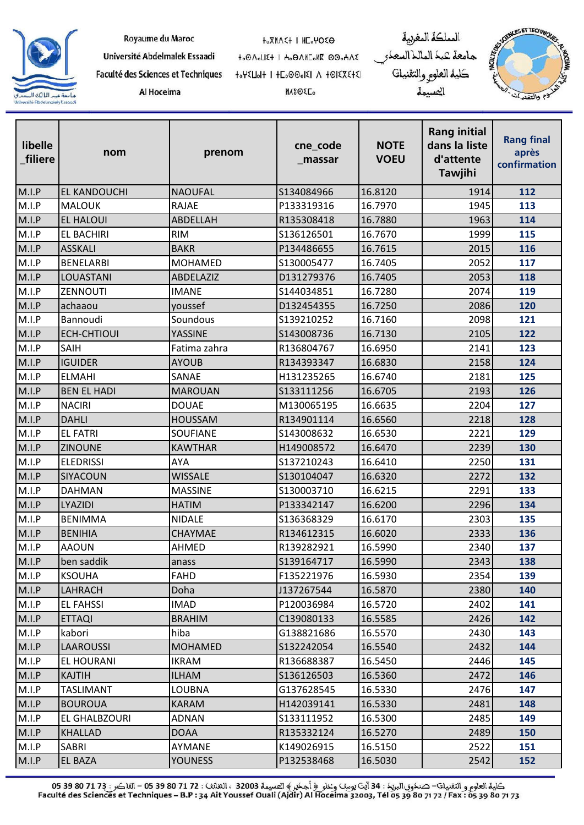

| Royaume du Maroc |  |  |  |  |  |
|------------------|--|--|--|--|--|
|------------------|--|--|--|--|--|

Université Abdelmalek Essaadi

Al Hoceima

**HOXMASH I HEOMOSO** 

**MASOEL** 

to OnoLIE+ I Ho ONIColle 00oHAE Faculté des Sciences et Techniques 

جامعة عبد الماللاالسعدر<br>كلية العلو<sub>كر</sub> والتقنيات المسيمة

المملكة المغربية



| libelle<br>_filiere | nom                 | prenom          | cne_code<br>_massar | <b>NOTE</b><br><b>VOEU</b> | <b>Rang initial</b><br>dans la liste<br>d'attente<br><b>Tawjihi</b> | <b>Rang final</b><br>après<br>confirmation |
|---------------------|---------------------|-----------------|---------------------|----------------------------|---------------------------------------------------------------------|--------------------------------------------|
| M.I.P               | <b>EL KANDOUCHI</b> | <b>NAOUFAL</b>  | S134084966          | 16.8120                    | 1914                                                                | 112                                        |
| M.I.P               | <b>MALOUK</b>       | <b>RAJAE</b>    | P133319316          | 16.7970                    | 1945                                                                | 113                                        |
| M.I.P               | <b>EL HALOUI</b>    | ABDELLAH        | R135308418          | 16.7880                    | 1963                                                                | 114                                        |
| M.I.P               | <b>EL BACHIRI</b>   | <b>RIM</b>      | S136126501          | 16.7670                    | 1999                                                                | 115                                        |
| M.I.P               | <b>ASSKALI</b>      | <b>BAKR</b>     | P134486655          | 16.7615                    | 2015                                                                | 116                                        |
| M.I.P               | <b>BENELARBI</b>    | <b>MOHAMED</b>  | S130005477          | 16.7405                    | 2052                                                                | 117                                        |
| M.I.P               | LOUASTANI           | ABDELAZIZ       | D131279376          | 16.7405                    | 2053                                                                | 118                                        |
| M.I.P               | ZENNOUTI            | <b>IMANE</b>    | S144034851          | 16.7280                    | 2074                                                                | 119                                        |
| M.I.P               | achaaou             | youssef         | D132454355          | 16.7250                    | 2086                                                                | 120                                        |
| M.I.P               | Bannoudi            | Soundous        | S139210252          | 16.7160                    | 2098                                                                | 121                                        |
| M.I.P               | <b>ECH-CHTIOUI</b>  | YASSINE         | S143008736          | 16.7130                    | 2105                                                                | 122                                        |
| M.I.P               | <b>SAIH</b>         | Fatima zahra    | R136804767          | 16.6950                    | 2141                                                                | 123                                        |
| M.I.P               | <b>IGUIDER</b>      | <b>AYOUB</b>    | R134393347          | 16.6830                    | 2158                                                                | 124                                        |
| M.I.P               | <b>ELMAHI</b>       | SANAE           | H131235265          | 16.6740                    | 2181                                                                | 125                                        |
| M.I.P               | <b>BEN EL HADI</b>  | <b>MAROUAN</b>  | S133111256          | 16.6705                    | 2193                                                                | 126                                        |
| M.I.P               | <b>NACIRI</b>       | <b>DOUAE</b>    | M130065195          | 16.6635                    | 2204                                                                | 127                                        |
| M.I.P               | <b>DAHLI</b>        | <b>HOUSSAM</b>  | R134901114          | 16.6560                    | 2218                                                                | 128                                        |
| M.I.P               | <b>EL FATRI</b>     | <b>SOUFIANE</b> | S143008632          | 16.6530                    | 2221                                                                | 129                                        |
| M.I.P               | <b>ZINOUNE</b>      | <b>KAWTHAR</b>  | H149008572          | 16.6470                    | 2239                                                                | 130                                        |
| M.I.P               | <b>ELEDRISSI</b>    | <b>AYA</b>      | S137210243          | 16.6410                    | 2250                                                                | 131                                        |
| M.I.P               | SIYACOUN            | <b>WISSALE</b>  | S130104047          | 16.6320                    | 2272                                                                | 132                                        |
| M.I.P               | <b>DAHMAN</b>       | <b>MASSINE</b>  | S130003710          | 16.6215                    | 2291                                                                | 133                                        |
| M.I.P               | LYAZIDI             | <b>HATIM</b>    | P133342147          | 16.6200                    | 2296                                                                | 134                                        |
| M.I.P               | <b>BENIMMA</b>      | <b>NIDALE</b>   | S136368329          | 16.6170                    | 2303                                                                | 135                                        |
| M.I.P               | <b>BENIHIA</b>      | CHAYMAE         | R134612315          | 16.6020                    | 2333                                                                | 136                                        |
| M.I.P               | <b>AAOUN</b>        | <b>AHMED</b>    | R139282921          | 16.5990                    | 2340                                                                | 137                                        |
| M.I.P               | ben saddik          | anass           | S139164717          | 16.5990                    | 2343                                                                | 138                                        |
| M.I.P               | <b>KSOUHA</b>       | <b>FAHD</b>     | F135221976          | 16.5930                    | 2354                                                                | 139                                        |
| M.I.P               | LAHRACH             | Doha            | J137267544          | 16.5870                    | 2380                                                                | 140                                        |
| M.I.P               | <b>EL FAHSSI</b>    | <b>IMAD</b>     | P120036984          | 16.5720                    | 2402                                                                | 141                                        |
| M.I.P               | <b>ETTAQI</b>       | <b>BRAHIM</b>   | C139080133          | 16.5585                    | 2426                                                                | 142                                        |
| M.I.P               | kabori              | hiba            | G138821686          | 16.5570                    | 2430                                                                | 143                                        |
| M.I.P               | <b>LAAROUSSI</b>    | <b>MOHAMED</b>  | S132242054          | 16.5540                    | 2432                                                                | 144                                        |
| M.I.P               | EL HOURANI          | <b>IKRAM</b>    | R136688387          | 16.5450                    | 2446                                                                | 145                                        |
| M.I.P               | <b>KAJTIH</b>       | <b>ILHAM</b>    | S136126503          | 16.5360                    | 2472                                                                | 146                                        |
| M.I.P               | <b>TASLIMANT</b>    | <b>LOUBNA</b>   | G137628545          | 16.5330                    | 2476                                                                | 147                                        |
| M.I.P               | <b>BOUROUA</b>      | <b>KARAM</b>    | H142039141          | 16.5330                    | 2481                                                                | 148                                        |
| M.I.P               | EL GHALBZOURI       | ADNAN           | S133111952          | 16.5300                    | 2485                                                                | 149                                        |
| M.I.P               | <b>KHALLAD</b>      | <b>DOAA</b>     | R135332124          | 16.5270                    | 2489                                                                | 150                                        |
| M.I.P               | SABRI               | AYMANE          | K149026915          | 16.5150                    | 2522                                                                | 151                                        |
| M.I.P               | <b>EL BAZA</b>      | <b>YOUNESS</b>  | P132538468          | 16.5030                    | 2542                                                                | 152                                        |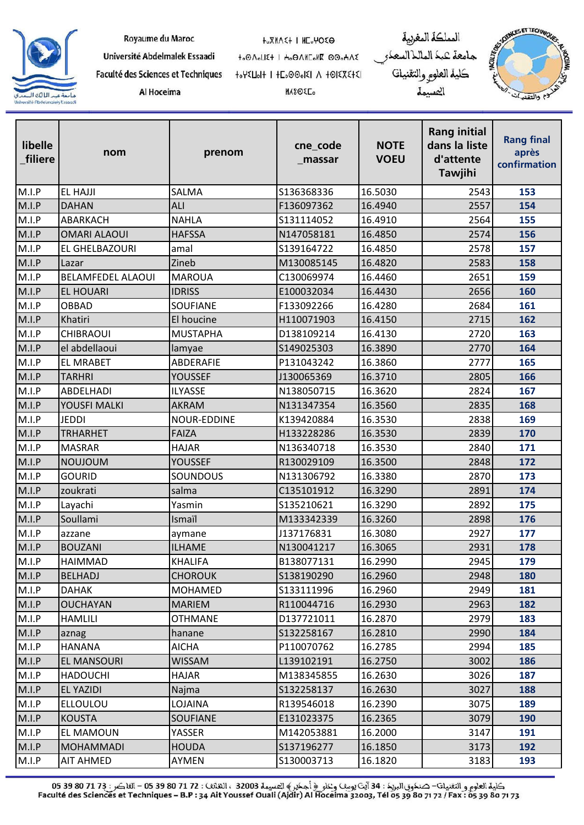

| Royaume du Maroc |  |  |  |
|------------------|--|--|--|
|------------------|--|--|--|

Al Hoceima

**HOXMASH I HEOMOSO** 

to OnoLIE+ I Ho ONIColle 00oHAE 

**MASOEL** 

المملكة المغربية جامعة عبد الماللاالسعدر<br>كلية العلو<sub>كر</sub> والتقنيات المسيمة



| libelle<br>filiere | nom                      | prenom          | cne_code<br>_massar | <b>NOTE</b><br><b>VOEU</b> | <b>Rang initial</b><br>dans la liste<br>d'attente<br>Tawjihi | <b>Rang final</b><br>après<br>confirmation |
|--------------------|--------------------------|-----------------|---------------------|----------------------------|--------------------------------------------------------------|--------------------------------------------|
| M.I.P              | <b>EL HAJJI</b>          | SALMA           | S136368336          | 16.5030                    | 2543                                                         | 153                                        |
| M.I.P              | <b>DAHAN</b>             | ALI             | F136097362          | 16.4940                    | 2557                                                         | 154                                        |
| M.I.P              | ABARKACH                 | <b>NAHLA</b>    | S131114052          | 16.4910                    | 2564                                                         | 155                                        |
| M.I.P              | <b>OMARI ALAOUI</b>      | <b>HAFSSA</b>   | N147058181          | 16.4850                    | 2574                                                         | 156                                        |
| M.I.P              | EL GHELBAZOURI           | amal            | S139164722          | 16.4850                    | 2578                                                         | 157                                        |
| M.I.P              | Lazar                    | Zineb           | M130085145          | 16.4820                    | 2583                                                         | 158                                        |
| M.I.P              | <b>BELAMFEDEL ALAOUI</b> | <b>MAROUA</b>   | C130069974          | 16.4460                    | 2651                                                         | 159                                        |
| M.I.P              | <b>EL HOUARI</b>         | <b>IDRISS</b>   | E100032034          | 16.4430                    | 2656                                                         | 160                                        |
| M.I.P              | <b>OBBAD</b>             | SOUFIANE        | F133092266          | 16.4280                    | 2684                                                         | 161                                        |
| M.I.P              | Khatiri                  | El houcine      | H110071903          | 16.4150                    | 2715                                                         | 162                                        |
| M.I.P              | <b>CHIBRAOUI</b>         | <b>MUSTAPHA</b> | D138109214          | 16.4130                    | 2720                                                         | 163                                        |
| M.I.P              | el abdellaoui            | lamyae          | S149025303          | 16.3890                    | 2770                                                         | 164                                        |
| M.I.P              | <b>EL MRABET</b>         | ABDERAFIE       | P131043242          | 16.3860                    | 2777                                                         | 165                                        |
| M.I.P              | <b>TARHRI</b>            | YOUSSEF         | J130065369          | 16.3710                    | 2805                                                         | 166                                        |
| M.I.P              | ABDELHADI                | <b>ILYASSE</b>  | N138050715          | 16.3620                    | 2824                                                         | 167                                        |
| M.I.P              | YOUSFI MALKI             | <b>AKRAM</b>    | N131347354          | 16.3560                    | 2835                                                         | 168                                        |
| M.I.P              | <b>JEDDI</b>             | NOUR-EDDINE     | K139420884          | 16.3530                    | 2838                                                         | 169                                        |
| M.I.P              | <b>TRHARHET</b>          | <b>FAIZA</b>    | H133228286          | 16.3530                    | 2839                                                         | 170                                        |
| M.I.P              | <b>MASRAR</b>            | <b>HAJAR</b>    | N136340718          | 16.3530                    | 2840                                                         | 171                                        |
| M.I.P              | <b>NOUJOUM</b>           | <b>YOUSSEF</b>  | R130029109          | 16.3500                    | 2848                                                         | 172                                        |
| M.I.P              | <b>GOURID</b>            | SOUNDOUS        | N131306792          | 16.3380                    | 2870                                                         | 173                                        |
| M.I.P              | zoukrati                 | salma           | C135101912          | 16.3290                    | 2891                                                         | 174                                        |
| M.I.P              | Layachi                  | Yasmin          | S135210621          | 16.3290                    | 2892                                                         | 175                                        |
| M.I.P              | Soullami                 | Ismaïl          | M133342339          | 16.3260                    | 2898                                                         | 176                                        |
| M.I.P              | azzane                   | aymane          | J137176831          | 16.3080                    | 2927                                                         | 177                                        |
| M.I.P              | <b>BOUZANI</b>           | <b>ILHAME</b>   | N130041217          | 16.3065                    | 2931                                                         | 178                                        |
| M.I.P              | <b>HAIMMAD</b>           | KHALIFA         | B138077131          | 16.2990                    | 2945                                                         | 179                                        |
| M.I.P              | <b>BELHADJ</b>           | <b>CHOROUK</b>  | S138190290          | 16.2960                    | 2948                                                         | 180                                        |
| M.I.P              | <b>DAHAK</b>             | MOHAMED         | S133111996          | 16.2960                    | 2949                                                         | 181                                        |
| M.I.P              | <b>OUCHAYAN</b>          | <b>MARIEM</b>   | R110044716          | 16.2930                    | 2963                                                         | 182                                        |
| M.I.P              | <b>HAMLILI</b>           | <b>OTHMANE</b>  | D137721011          | 16.2870                    | 2979                                                         | 183                                        |
| M.I.P              | aznag                    | hanane          | S132258167          | 16.2810                    | 2990                                                         | 184                                        |
| M.I.P              | <b>HANANA</b>            | <b>AICHA</b>    | P110070762          | 16.2785                    | 2994                                                         | 185                                        |
| M.I.P              | EL MANSOURI              | <b>WISSAM</b>   | L139102191          | 16.2750                    | 3002                                                         | 186                                        |
| M.I.P              | <b>HADOUCHI</b>          | <b>HAJAR</b>    | M138345855          | 16.2630                    | 3026                                                         | 187                                        |
| M.I.P              | EL YAZIDI                | Najma           | S132258137          | 16.2630                    | 3027                                                         | 188                                        |
| M.I.P              | <b>ELLOULOU</b>          | LOJAINA         | R139546018          | 16.2390                    | 3075                                                         | 189                                        |
| M.I.P              | <b>KOUSTA</b>            | <b>SOUFIANE</b> | E131023375          | 16.2365                    | 3079                                                         | 190                                        |
| M.I.P              | EL MAMOUN                | YASSER          | M142053881          | 16.2000                    | 3147                                                         | 191                                        |
| M.I.P              | <b>MOHAMMADI</b>         | <b>HOUDA</b>    | S137196277          | 16.1850                    | 3173                                                         | 192                                        |
| M.I.P              | <b>AIT AHMED</b>         | AYMEN           | S130003713          | 16.1820                    | 3183                                                         | 193                                        |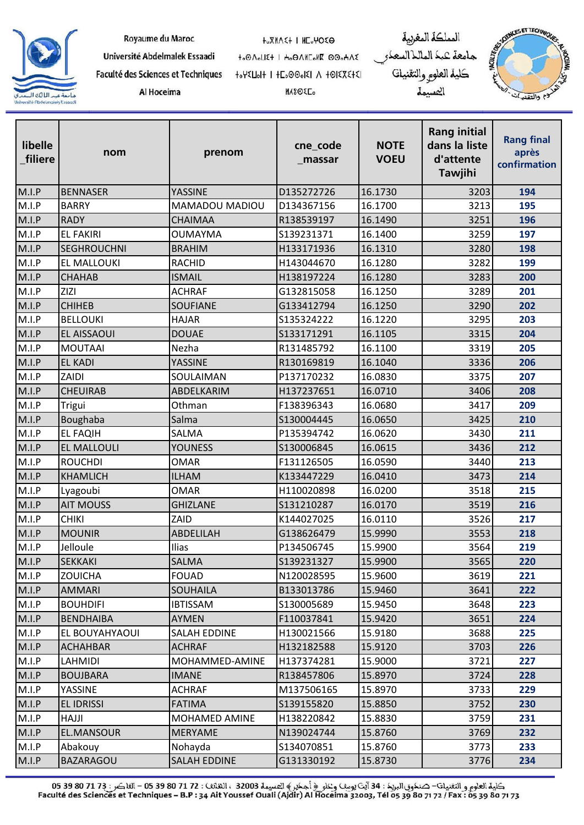

| Royaume du Maroc |  |  |  |  |  |
|------------------|--|--|--|--|--|
|------------------|--|--|--|--|--|

Al Hoceima

**HOXMASH I HEOMOSO** 

**MASOEL** 

to OnoLIE+ I Ho ONIColle 00oHAE 

جامعة كبك الماللا السعك كلية العلوم والتقنيات العسيمة

المملكة المغربية



| libelle<br>filiere | nom                | prenom              | cne_code<br>_massar | <b>NOTE</b><br><b>VOEU</b> | <b>Rang initial</b><br>dans la liste<br>d'attente<br>Tawjihi | <b>Rang final</b><br>après<br>confirmation |
|--------------------|--------------------|---------------------|---------------------|----------------------------|--------------------------------------------------------------|--------------------------------------------|
| M.I.P              | <b>BENNASER</b>    | YASSINE             | D135272726          | 16.1730                    | 3203                                                         | 194                                        |
| M.I.P              | <b>BARRY</b>       | MAMADOU MADIOU      | D134367156          | 16.1700                    | 3213                                                         | 195                                        |
| M.I.P              | <b>RADY</b>        | <b>CHAIMAA</b>      | R138539197          | 16.1490                    | 3251                                                         | 196                                        |
| M.I.P              | <b>EL FAKIRI</b>   | <b>OUMAYMA</b>      | S139231371          | 16.1400                    | 3259                                                         | 197                                        |
| M.I.P              | <b>SEGHROUCHNI</b> | <b>BRAHIM</b>       | H133171936          | 16.1310                    | 3280                                                         | 198                                        |
| M.I.P              | EL MALLOUKI        | <b>RACHID</b>       | H143044670          | 16.1280                    | 3282                                                         | 199                                        |
| M.I.P              | <b>CHAHAB</b>      | <b>ISMAIL</b>       | H138197224          | 16.1280                    | 3283                                                         | 200                                        |
| M.I.P              | <b>ZIZI</b>        | <b>ACHRAF</b>       | G132815058          | 16.1250                    | 3289                                                         | 201                                        |
| M.I.P              | <b>CHIHEB</b>      | <b>SOUFIANE</b>     | G133412794          | 16.1250                    | 3290                                                         | 202                                        |
| M.I.P              | <b>BELLOUKI</b>    | <b>HAJAR</b>        | S135324222          | 16.1220                    | 3295                                                         | 203                                        |
| M.I.P              | EL AISSAOUI        | <b>DOUAE</b>        | S133171291          | 16.1105                    | 3315                                                         | 204                                        |
| M.I.P              | <b>MOUTAAI</b>     | Nezha               | R131485792          | 16.1100                    | 3319                                                         | 205                                        |
| M.I.P              | <b>EL KADI</b>     | <b>YASSINE</b>      | R130169819          | 16.1040                    | 3336                                                         | 206                                        |
| M.I.P              | ZAIDI              | SOULAIMAN           | P137170232          | 16.0830                    | 3375                                                         | 207                                        |
| M.I.P              | <b>CHEUIRAB</b>    | ABDELKARIM          | H137237651          | 16.0710                    | 3406                                                         | 208                                        |
| M.I.P              | Trigui             | Othman              | F138396343          | 16.0680                    | 3417                                                         | 209                                        |
| M.I.P              | Boughaba           | Salma               | S130004445          | 16.0650                    | 3425                                                         | 210                                        |
| M.I.P              | <b>EL FAQIH</b>    | SALMA               | P135394742          | 16.0620                    | 3430                                                         | 211                                        |
| M.I.P              | <b>EL MALLOULI</b> | <b>YOUNESS</b>      | S130006845          | 16.0615                    | 3436                                                         | 212                                        |
| M.I.P              | <b>ROUCHDI</b>     | <b>OMAR</b>         | F131126505          | 16.0590                    | 3440                                                         | 213                                        |
| M.I.P              | <b>KHAMLICH</b>    | <b>ILHAM</b>        | K133447229          | 16.0410                    | 3473                                                         | 214                                        |
| M.I.P              | Lyagoubi           | <b>OMAR</b>         | H110020898          | 16.0200                    | 3518                                                         | 215                                        |
| M.I.P              | <b>AIT MOUSS</b>   | <b>GHIZLANE</b>     | S131210287          | 16.0170                    | 3519                                                         | 216                                        |
| M.I.P              | <b>CHIKI</b>       | ZAID                | K144027025          | 16.0110                    | 3526                                                         | 217                                        |
| M.I.P              | <b>MOUNIR</b>      | ABDELILAH           | G138626479          | 15.9990                    | 3553                                                         | 218                                        |
| M.I.P              | Jelloule           | Ilias               | P134506745          | 15.9900                    | 3564                                                         | 219                                        |
| M.I.P              | SEKKAKI            | SALMA               | S139231327          | 15.9900                    | 3565                                                         | 220                                        |
| M.I.P              | <b>ZOUICHA</b>     | <b>FOUAD</b>        | N120028595          | 15.9600                    | 3619                                                         | 221                                        |
| M.I.P              | <b>AMMARI</b>      | <b>SOUHAILA</b>     | B133013786          | 15.9460                    | 3641                                                         | 222                                        |
| M.I.P              | <b>BOUHDIFI</b>    | <b>IBTISSAM</b>     | S130005689          | 15.9450                    | 3648                                                         | 223                                        |
| M.I.P              | <b>BENDHAIBA</b>   | AYMEN               | F110037841          | 15.9420                    | 3651                                                         | 224                                        |
| M.I.P              | EL BOUYAHYAOUI     | <b>SALAH EDDINE</b> | H130021566          | 15.9180                    | 3688                                                         | 225                                        |
| M.I.P              | <b>ACHAHBAR</b>    | <b>ACHRAF</b>       | H132182588          | 15.9120                    | 3703                                                         | 226                                        |
| M.I.P              | LAHMIDI            | MOHAMMED-AMINE      | H137374281          | 15.9000                    | 3721                                                         | 227                                        |
| M.I.P              | <b>BOUJBARA</b>    | <b>IMANE</b>        | R138457806          | 15.8970                    | 3724                                                         | 228                                        |
| M.I.P              | YASSINE            | <b>ACHRAF</b>       | M137506165          | 15.8970                    | 3733                                                         | 229                                        |
| M.I.P              | EL IDRISSI         | <b>FATIMA</b>       | S139155820          | 15.8850                    | 3752                                                         | 230                                        |
| M.I.P              | <b>HAJJI</b>       | MOHAMED AMINE       | H138220842          | 15.8830                    | 3759                                                         | 231                                        |
| M.I.P              | EL.MANSOUR         | <b>MERYAME</b>      | N139024744          | 15.8760                    | 3769                                                         | 232                                        |
| M.I.P              | Abakouy            | Nohayda             | S134070851          | 15.8760                    | 3773                                                         | 233                                        |
| M.I.P              | <b>BAZARAGOU</b>   | <b>SALAH EDDINE</b> | G131330192          | 15.8730                    | 3776                                                         | 234                                        |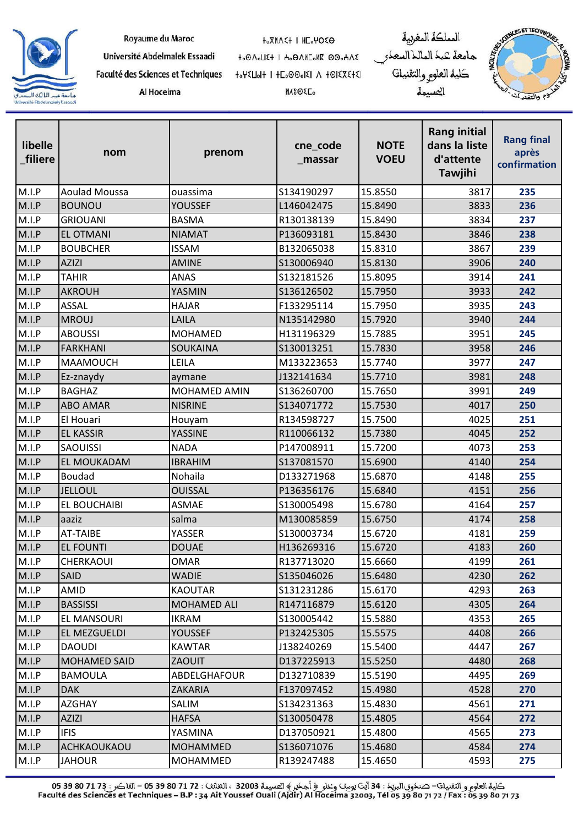

| Royaume du Maroc |  |
|------------------|--|
|------------------|--|

**HOXMASH I HEOMOSO** 

Université Abdelmalek Essaadi

Faculté des Sciences et Techniques Al Hoceima

to OnoLIE+ I Ho ONIColle 00oHAE 

**MASOEL** 

المملكة المغربية جامعة عبد الماللاالسعدر<br>كلية العلو<sub>كر</sub> والتقنيات المسيمة



| libelle<br>filiere | nom                  | prenom          | cne_code<br>_massar | <b>NOTE</b><br><b>VOEU</b> | <b>Rang initial</b><br>dans la liste<br>d'attente<br><b>Tawjihi</b> | <b>Rang final</b><br>après<br>confirmation |
|--------------------|----------------------|-----------------|---------------------|----------------------------|---------------------------------------------------------------------|--------------------------------------------|
| M.I.P              | <b>Aoulad Moussa</b> | ouassima        | S134190297          | 15.8550                    | 3817                                                                | 235                                        |
| M.I.P              | <b>BOUNOU</b>        | <b>YOUSSEF</b>  | L146042475          | 15.8490                    | 3833                                                                | 236                                        |
| M.I.P              | <b>GRIOUANI</b>      | <b>BASMA</b>    | R130138139          | 15.8490                    | 3834                                                                | 237                                        |
| M.I.P              | <b>EL OTMANI</b>     | <b>NIAMAT</b>   | P136093181          | 15.8430                    | 3846                                                                | 238                                        |
| M.I.P              | <b>BOUBCHER</b>      | <b>ISSAM</b>    | B132065038          | 15.8310                    | 3867                                                                | 239                                        |
| M.I.P              | <b>AZIZI</b>         | <b>AMINE</b>    | S130006940          | 15.8130                    | 3906                                                                | 240                                        |
| M.I.P              | <b>TAHIR</b>         | <b>ANAS</b>     | S132181526          | 15.8095                    | 3914                                                                | 241                                        |
| M.I.P              | <b>AKROUH</b>        | YASMIN          | S136126502          | 15.7950                    | 3933                                                                | 242                                        |
| M.I.P              | <b>ASSAL</b>         | <b>HAJAR</b>    | F133295114          | 15.7950                    | 3935                                                                | 243                                        |
| M.I.P              | <b>MROUJ</b>         | LAILA           | N135142980          | 15.7920                    | 3940                                                                | 244                                        |
| M.I.P              | <b>ABOUSSI</b>       | <b>MOHAMED</b>  | H131196329          | 15.7885                    | 3951                                                                | 245                                        |
| M.I.P              | FARKHANI             | <b>SOUKAINA</b> | S130013251          | 15.7830                    | 3958                                                                | 246                                        |
| M.I.P              | <b>MAAMOUCH</b>      | LEILA           | M133223653          | 15.7740                    | 3977                                                                | 247                                        |
| M.I.P              | Ez-znaydy            | aymane          | J132141634          | 15.7710                    | 3981                                                                | 248                                        |
| M.I.P              | <b>BAGHAZ</b>        | MOHAMED AMIN    | S136260700          | 15.7650                    | 3991                                                                | 249                                        |
| M.I.P              | <b>ABO AMAR</b>      | <b>NISRINE</b>  | S134071772          | 15.7530                    | 4017                                                                | 250                                        |
| M.I.P              | El Houari            | Houyam          | R134598727          | 15.7500                    | 4025                                                                | 251                                        |
| M.I.P              | <b>EL KASSIR</b>     | <b>YASSINE</b>  | R110066132          | 15.7380                    | 4045                                                                | 252                                        |
| M.I.P              | <b>SAOUISSI</b>      | <b>NADA</b>     | P147008911          | 15.7200                    | 4073                                                                | 253                                        |
| M.I.P              | <b>EL MOUKADAM</b>   | <b>IBRAHIM</b>  | S137081570          | 15.6900                    | 4140                                                                | 254                                        |
| M.I.P              | Boudad               | Nohaila         | D133271968          | 15.6870                    | 4148                                                                | 255                                        |
| M.I.P              | <b>JELLOUL</b>       | <b>OUISSAL</b>  | P136356176          | 15.6840                    | 4151                                                                | 256                                        |
| M.I.P              | EL BOUCHAIBI         | <b>ASMAE</b>    | S130005498          | 15.6780                    | 4164                                                                | 257                                        |
| M.I.P              | aaziz                | salma           | M130085859          | 15.6750                    | 4174                                                                | 258                                        |
| M.I.P              | <b>AT-TAIBE</b>      | YASSER          | S130003734          | 15.6720                    | 4181                                                                | 259                                        |
| M.I.P              | <b>EL FOUNTI</b>     | <b>DOUAE</b>    | H136269316          | 15.6720                    | 4183                                                                | 260                                        |
| M.I.P              | <b>CHERKAOUI</b>     | <b>OMAR</b>     | R137713020          | 15.6660                    | 4199                                                                | 261                                        |
| M.I.P              | <b>SAID</b>          | <b>WADIE</b>    | S135046026          | 15.6480                    | 4230                                                                | 262                                        |
| M.I.P              | AMID                 | <b>KAOUTAR</b>  | S131231286          | 15.6170                    | 4293                                                                | 263                                        |
| M.I.P              | <b>BASSISSI</b>      | MOHAMED ALI     | R147116879          | 15.6120                    | 4305                                                                | 264                                        |
| M.I.P              | <b>EL MANSOURI</b>   | <b>IKRAM</b>    | S130005442          | 15.5880                    | 4353                                                                | 265                                        |
| M.I.P              | EL MEZGUELDI         | YOUSSEF         | P132425305          | 15.5575                    | 4408                                                                | 266                                        |
| M.I.P              | <b>DAOUDI</b>        | <b>KAWTAR</b>   | J138240269          | 15.5400                    | 4447                                                                | 267                                        |
| M.I.P              | <b>MOHAMED SAID</b>  | <b>ZAOUIT</b>   | D137225913          | 15.5250                    | 4480                                                                | 268                                        |
| M.I.P              | <b>BAMOULA</b>       | ABDELGHAFOUR    | D132710839          | 15.5190                    | 4495                                                                | 269                                        |
| M.I.P              | <b>DAK</b>           | ZAKARIA         | F137097452          | 15.4980                    | 4528                                                                | 270                                        |
| M.I.P              | <b>AZGHAY</b>        | SALIM           | S134231363          | 15.4830                    | 4561                                                                | 271                                        |
| M.I.P              | <b>AZIZI</b>         | <b>HAFSA</b>    | S130050478          | 15.4805                    | 4564                                                                | 272                                        |
| M.I.P              | <b>IFIS</b>          | YASMINA         | D137050921          | 15.4800                    | 4565                                                                | 273                                        |
| M.I.P              | ACHKAOUKAOU          | <b>MOHAMMED</b> | S136071076          | 15.4680                    | 4584                                                                | 274                                        |
| M.I.P              | <b>JAHOUR</b>        | MOHAMMED        | R139247488          | 15.4650                    | 4593                                                                | 275                                        |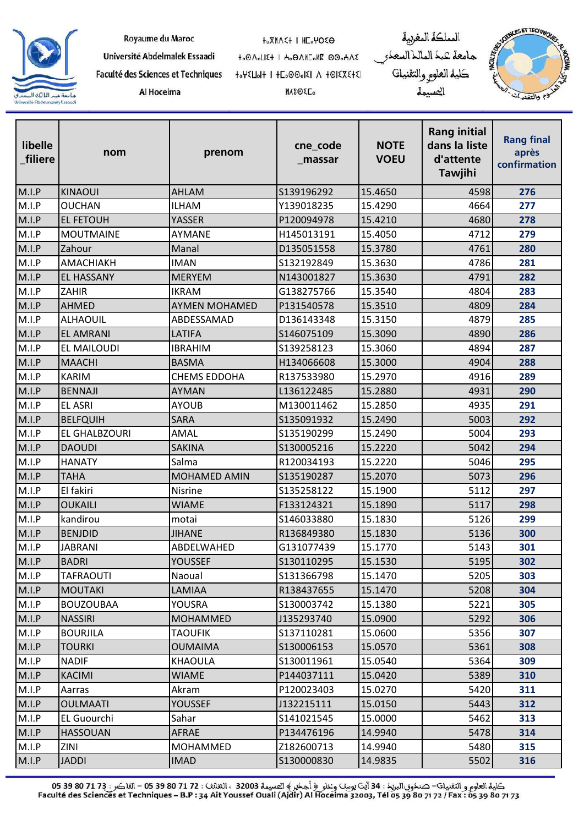

| Royaume du Maroc |  |  |  |  |  |
|------------------|--|--|--|--|--|
|------------------|--|--|--|--|--|

Faculté des Sciences et Techniques

Al Hoceima

Université Abdelmalek Essaadi

**HOXMASH I HEOMOSO** 

to OnoLIE+ I Ho ONIColle 00oHAE 

**MASOEL** 

المملكة المغربية جامعة عبد الماللاالسعدر<br>كلية العلو<sub>كر</sub> والتقنيات المسيمة



| libelle<br>filiere | nom                | prenom               | cne_code<br>_massar | <b>NOTE</b><br><b>VOEU</b> | <b>Rang initial</b><br>dans la liste<br>d'attente<br><b>Tawjihi</b> | <b>Rang final</b><br>après<br>confirmation |
|--------------------|--------------------|----------------------|---------------------|----------------------------|---------------------------------------------------------------------|--------------------------------------------|
| M.I.P              | <b>KINAOUI</b>     | AHLAM                | S139196292          | 15.4650                    | 4598                                                                | 276                                        |
| M.I.P              | <b>OUCHAN</b>      | <b>ILHAM</b>         | Y139018235          | 15.4290                    | 4664                                                                | 277                                        |
| M.I.P              | <b>EL FETOUH</b>   | YASSER               | P120094978          | 15.4210                    | 4680                                                                | 278                                        |
| M.I.P              | <b>MOUTMAINE</b>   | AYMANE               | H145013191          | 15.4050                    | 4712                                                                | 279                                        |
| M.I.P              | Zahour             | Manal                | D135051558          | 15.3780                    | 4761                                                                | 280                                        |
| M.I.P              | <b>AMACHIAKH</b>   | <b>IMAN</b>          | S132192849          | 15.3630                    | 4786                                                                | 281                                        |
| M.I.P              | <b>EL HASSANY</b>  | <b>MERYEM</b>        | N143001827          | 15.3630                    | 4791                                                                | 282                                        |
| M.I.P              | <b>ZAHIR</b>       | <b>IKRAM</b>         | G138275766          | 15.3540                    | 4804                                                                | 283                                        |
| M.I.P              | <b>AHMED</b>       | <b>AYMEN MOHAMED</b> | P131540578          | 15.3510                    | 4809                                                                | 284                                        |
| M.I.P              | <b>ALHAOUIL</b>    | ABDESSAMAD           | D136143348          | 15.3150                    | 4879                                                                | 285                                        |
| M.I.P              | <b>EL AMRANI</b>   | <b>LATIFA</b>        | S146075109          | 15.3090                    | 4890                                                                | 286                                        |
| M.I.P              | EL MAILOUDI        | <b>IBRAHIM</b>       | S139258123          | 15.3060                    | 4894                                                                | 287                                        |
| M.I.P              | <b>MAACHI</b>      | <b>BASMA</b>         | H134066608          | 15.3000                    | 4904                                                                | 288                                        |
| M.I.P              | <b>KARIM</b>       | <b>CHEMS EDDOHA</b>  | R137533980          | 15.2970                    | 4916                                                                | 289                                        |
| M.I.P              | <b>BENNAJI</b>     | <b>AYMAN</b>         | L136122485          | 15.2880                    | 4931                                                                | 290                                        |
| M.I.P              | <b>EL ASRI</b>     | <b>AYOUB</b>         | M130011462          | 15.2850                    | 4935                                                                | 291                                        |
| M.I.P              | <b>BELFQUIH</b>    | <b>SARA</b>          | S135091932          | 15.2490                    | 5003                                                                | 292                                        |
| M.I.P              | EL GHALBZOURI      | AMAL                 | S135190299          | 15.2490                    | 5004                                                                | 293                                        |
| M.I.P              | <b>DAOUDI</b>      | <b>SAKINA</b>        | S130005216          | 15.2220                    | 5042                                                                | 294                                        |
| M.I.P              | <b>HANATY</b>      | Salma                | R120034193          | 15.2220                    | 5046                                                                | 295                                        |
| M.I.P              | <b>TAHA</b>        | <b>MOHAMED AMIN</b>  | S135190287          | 15.2070                    | 5073                                                                | 296                                        |
| M.I.P              | El fakiri          | Nisrine              | S135258122          | 15.1900                    | 5112                                                                | 297                                        |
| M.I.P              | <b>OUKAILI</b>     | <b>WIAME</b>         | F133124321          | 15.1890                    | 5117                                                                | 298                                        |
| M.I.P              | kandirou           | motai                | S146033880          | 15.1830                    | 5126                                                                | 299                                        |
| M.I.P              | <b>BENJDID</b>     | <b>JIHANE</b>        | R136849380          | 15.1830                    | 5136                                                                | 300                                        |
| M.I.P              | <b>JABRANI</b>     | ABDELWAHED           | G131077439          | 15.1770                    | 5143                                                                | 301                                        |
| M.I.P              | <b>BADRI</b>       | <b>YOUSSEF</b>       | S130110295          | 15.1530                    | 5195                                                                | 302                                        |
| M.I.P              | <b>TAFRAOUTI</b>   | Naoual               | S131366798          | 15.1470                    | 5205                                                                | 303                                        |
| M.I.P              | MOUTAKI            | LAMIAA               | R138437655          | 15.1470                    | 5208                                                                | 304                                        |
| M.I.P              | <b>BOUZOUBAA</b>   | YOUSRA               | S130003742          | 15.1380                    | 5221                                                                | 305                                        |
| M.I.P              | <b>NASSIRI</b>     | <b>MOHAMMED</b>      | J135293740          | 15.0900                    | 5292                                                                | 306                                        |
| M.I.P              | <b>BOURJILA</b>    | <b>TAOUFIK</b>       | S137110281          | 15.0600                    | 5356                                                                | 307                                        |
| M.I.P              | <b>TOURKI</b>      | <b>OUMAIMA</b>       | S130006153          | 15.0570                    | 5361                                                                | 308                                        |
| M.I.P              | <b>NADIF</b>       | <b>KHAOULA</b>       | S130011961          | 15.0540                    | 5364                                                                | 309                                        |
| M.I.P              | <b>KACIMI</b>      | <b>WIAME</b>         | P144037111          | 15.0420                    | 5389                                                                | 310                                        |
| M.I.P              | Aarras             | Akram                | P120023403          | 15.0270                    | 5420                                                                | 311                                        |
| M.I.P              | <b>OULMAATI</b>    | <b>YOUSSEF</b>       | J132215111          | 15.0150                    | 5443                                                                | 312                                        |
| M.I.P              | <b>EL Guourchi</b> | Sahar                | S141021545          | 15.0000                    | 5462                                                                | 313                                        |
| M.I.P              | <b>HASSOUAN</b>    | AFRAE                | P134476196          | 14.9940                    | 5478                                                                | 314                                        |
| M.I.P              | ZINI               | MOHAMMED             | Z182600713          | 14.9940                    | 5480                                                                | 315                                        |
| M.I.P              | <b>JADDI</b>       | <b>IMAD</b>          | S130000830          | 14.9835                    | 5502                                                                | 316                                        |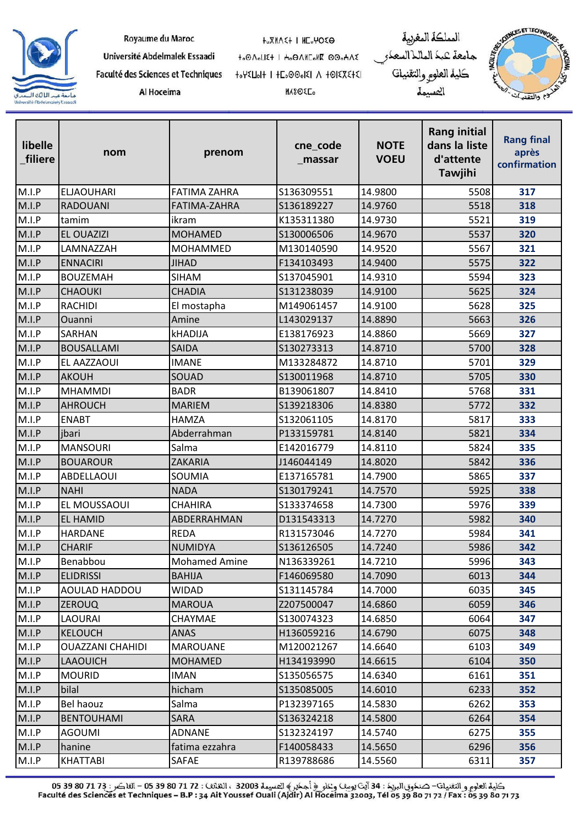

| Royaume du Maroc |  |  |
|------------------|--|--|
|------------------|--|--|

Al Hoceima

**HOXMASH I HEOMOSO** 

to OnoLIE+ I Ho ONIColle 00oHAE 

**MASOEL** 

المملكة المغربية جامعة عبد الماللاالسعدر<br>كلية العلو<sub>كر</sub> والتقنيات المسيمة



| libelle<br>filiere | nom                     | prenom               | cne_code<br>_massar | <b>NOTE</b><br><b>VOEU</b> | <b>Rang initial</b><br>dans la liste<br>d'attente<br><b>Tawjihi</b> | <b>Rang final</b><br>après<br>confirmation |
|--------------------|-------------------------|----------------------|---------------------|----------------------------|---------------------------------------------------------------------|--------------------------------------------|
| M.I.P              | <b>ELJAOUHARI</b>       | <b>FATIMA ZAHRA</b>  | S136309551          | 14.9800                    | 5508                                                                | 317                                        |
| M.I.P              | <b>RADOUANI</b>         | FATIMA-ZAHRA         | S136189227          | 14.9760                    | 5518                                                                | 318                                        |
| M.I.P              | tamim                   | ikram                | K135311380          | 14.9730                    | 5521                                                                | 319                                        |
| M.I.P              | <b>EL OUAZIZI</b>       | <b>MOHAMED</b>       | S130006506          | 14.9670                    | 5537                                                                | 320                                        |
| M.I.P              | LAMNAZZAH               | MOHAMMED             | M130140590          | 14.9520                    | 5567                                                                | 321                                        |
| M.I.P              | <b>ENNACIRI</b>         | <b>JIHAD</b>         | F134103493          | 14.9400                    | 5575                                                                | 322                                        |
| M.I.P              | <b>BOUZEMAH</b>         | <b>SIHAM</b>         | S137045901          | 14.9310                    | 5594                                                                | 323                                        |
| M.I.P              | <b>CHAOUKI</b>          | <b>CHADIA</b>        | S131238039          | 14.9100                    | 5625                                                                | 324                                        |
| M.I.P              | <b>RACHIDI</b>          | El mostapha          | M149061457          | 14.9100                    | 5628                                                                | 325                                        |
| M.I.P              | Ouanni                  | Amine                | L143029137          | 14.8890                    | 5663                                                                | 326                                        |
| M.I.P              | <b>SARHAN</b>           | <b>kHADIJA</b>       | E138176923          | 14.8860                    | 5669                                                                | 327                                        |
| M.I.P              | <b>BOUSALLAMI</b>       | <b>SAIDA</b>         | S130273313          | 14.8710                    | 5700                                                                | 328                                        |
| M.I.P              | <b>EL AAZZAOUI</b>      | <b>IMANE</b>         | M133284872          | 14.8710                    | 5701                                                                | 329                                        |
| M.I.P              | <b>AKOUH</b>            | SOUAD                | S130011968          | 14.8710                    | 5705                                                                | 330                                        |
| M.I.P              | <b>MHAMMDI</b>          | <b>BADR</b>          | B139061807          | 14.8410                    | 5768                                                                | 331                                        |
| M.I.P              | AHROUCH                 | <b>MARIEM</b>        | S139218306          | 14.8380                    | 5772                                                                | 332                                        |
| M.I.P              | <b>ENABT</b>            | <b>HAMZA</b>         | S132061105          | 14.8170                    | 5817                                                                | 333                                        |
| M.I.P              | jbari                   | Abderrahman          | P133159781          | 14.8140                    | 5821                                                                | 334                                        |
| M.I.P              | <b>MANSOURI</b>         | Salma                | E142016779          | 14.8110                    | 5824                                                                | 335                                        |
| M.I.P              | <b>BOUAROUR</b>         | <b>ZAKARIA</b>       | J146044149          | 14.8020                    | 5842                                                                | 336                                        |
| M.I.P              | ABDELLAOUI              | SOUMIA               | E137165781          | 14.7900                    | 5865                                                                | 337                                        |
| M.I.P              | <b>NAHI</b>             | <b>NADA</b>          | S130179241          | 14.7570                    | 5925                                                                | 338                                        |
| M.I.P              | EL MOUSSAOUI            | <b>CHAHIRA</b>       | S133374658          | 14.7300                    | 5976                                                                | 339                                        |
| M.I.P              | <b>EL HAMID</b>         | ABDERRAHMAN          | D131543313          | 14.7270                    | 5982                                                                | 340                                        |
| M.I.P              | <b>HARDANE</b>          | <b>REDA</b>          | R131573046          | 14.7270                    | 5984                                                                | 341                                        |
| M.I.P              | <b>CHARIF</b>           | <b>NUMIDYA</b>       | S136126505          | 14.7240                    | 5986                                                                | 342                                        |
| M.I.P              | Benabbou                | <b>Mohamed Amine</b> | N136339261          | 14.7210                    | 5996                                                                | 343                                        |
| M.I.P              | <b>ELIDRISSI</b>        | <b>BAHIJA</b>        | F146069580          | 14.7090                    | 6013                                                                | 344                                        |
| M.I.P              | <b>AOULAD HADDOU</b>    | <b>WIDAD</b>         | S131145784          | 14.7000                    | 6035                                                                | 345                                        |
| M.I.P              | <b>ZEROUQ</b>           | <b>MAROUA</b>        | Z207500047          | 14.6860                    | 6059                                                                | 346                                        |
| M.I.P              | LAOURAI                 | CHAYMAE              | S130074323          | 14.6850                    | 6064                                                                | 347                                        |
| M.I.P              | <b>KELOUCH</b>          | <b>ANAS</b>          | H136059216          | 14.6790                    | 6075                                                                | 348                                        |
| M.I.P              | <b>OUAZZANI CHAHIDI</b> | <b>MAROUANE</b>      | M120021267          | 14.6640                    | 6103                                                                | 349                                        |
| M.I.P              | LAAOUICH                | <b>MOHAMED</b>       | H134193990          | 14.6615                    | 6104                                                                | 350                                        |
| M.I.P              | <b>MOURID</b>           | <b>IMAN</b>          | S135056575          | 14.6340                    | 6161                                                                | 351                                        |
| M.I.P              | bilal                   | hicham               | S135085005          | 14.6010                    | 6233                                                                | 352                                        |
| M.I.P              | Bel haouz               | Salma                | P132397165          | 14.5830                    | 6262                                                                | 353                                        |
| M.I.P              | <b>BENTOUHAMI</b>       | <b>SARA</b>          | S136324218          | 14.5800                    | 6264                                                                | 354                                        |
| M.I.P              | <b>AGOUMI</b>           | <b>ADNANE</b>        | S132324197          | 14.5740                    | 6275                                                                | 355                                        |
| M.I.P              | hanine                  | fatima ezzahra       | F140058433          | 14.5650                    | 6296                                                                | 356                                        |
| M.I.P              | KHATTABI                | SAFAE                | R139788686          | 14.5560                    | 6311                                                                | 357                                        |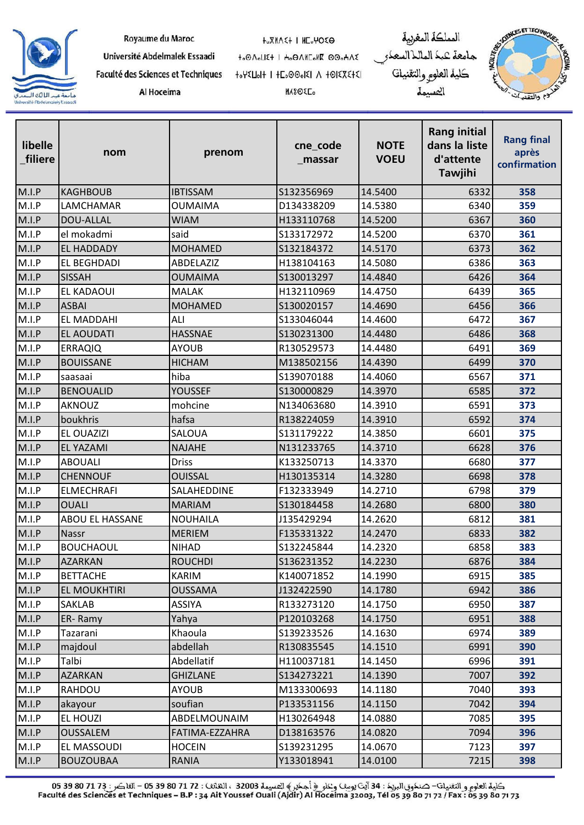

|  | Royaume du Maroc |
|--|------------------|

Al Hoceima

**HOXMASH I HEOMOSO** 

**MASOEL** 

to OnoLIE+ I Ho ONIColle 00oHAE 

المملكة المغربية جامعة عبد الماللاالسعدر<br>كلية العلو<sub>كر</sub> والتقنيات المسيمة



| libelle<br>filiere | nom                    | prenom          | cne_code<br>_massar | <b>NOTE</b><br><b>VOEU</b> | <b>Rang initial</b><br>dans la liste<br>d'attente<br><b>Tawjihi</b> | <b>Rang final</b><br>après<br>confirmation |
|--------------------|------------------------|-----------------|---------------------|----------------------------|---------------------------------------------------------------------|--------------------------------------------|
| M.I.P              | <b>KAGHBOUB</b>        | <b>IBTISSAM</b> | S132356969          | 14.5400                    | 6332                                                                | 358                                        |
| M.I.P              | <b>LAMCHAMAR</b>       | <b>OUMAIMA</b>  | D134338209          | 14.5380                    | 6340                                                                | 359                                        |
| M.I.P              | DOU-ALLAL              | <b>WIAM</b>     | H133110768          | 14.5200                    | 6367                                                                | 360                                        |
| M.I.P              | el mokadmi             | said            | S133172972          | 14.5200                    | 6370                                                                | 361                                        |
| M.I.P              | <b>EL HADDADY</b>      | <b>MOHAMED</b>  | S132184372          | 14.5170                    | 6373                                                                | 362                                        |
| M.I.P              | <b>EL BEGHDADI</b>     | ABDELAZIZ       | H138104163          | 14.5080                    | 6386                                                                | 363                                        |
| M.I.P              | <b>SISSAH</b>          | <b>OUMAIMA</b>  | S130013297          | 14.4840                    | 6426                                                                | 364                                        |
| M.I.P              | <b>EL KADAOUI</b>      | <b>MALAK</b>    | H132110969          | 14.4750                    | 6439                                                                | 365                                        |
| M.I.P              | <b>ASBAI</b>           | <b>MOHAMED</b>  | S130020157          | 14.4690                    | 6456                                                                | 366                                        |
| M.I.P              | EL MADDAHI             | ALI             | S133046044          | 14.4600                    | 6472                                                                | 367                                        |
| M.I.P              | <b>EL AOUDATI</b>      | <b>HASSNAE</b>  | S130231300          | 14.4480                    | 6486                                                                | 368                                        |
| M.I.P              | <b>ERRAQIQ</b>         | <b>AYOUB</b>    | R130529573          | 14.4480                    | 6491                                                                | 369                                        |
| M.I.P              | <b>BOUISSANE</b>       | <b>HICHAM</b>   | M138502156          | 14.4390                    | 6499                                                                | 370                                        |
| M.I.P              | saasaai                | hiba            | S139070188          | 14.4060                    | 6567                                                                | 371                                        |
| M.I.P              | <b>BENOUALID</b>       | <b>YOUSSEF</b>  | S130000829          | 14.3970                    | 6585                                                                | 372                                        |
| M.I.P              | <b>AKNOUZ</b>          | mohcine         | N134063680          | 14.3910                    | 6591                                                                | 373                                        |
| M.I.P              | boukhris               | hafsa           | R138224059          | 14.3910                    | 6592                                                                | 374                                        |
| M.I.P              | <b>EL OUAZIZI</b>      | SALOUA          | S131179222          | 14.3850                    | 6601                                                                | 375                                        |
| M.I.P              | <b>EL YAZAMI</b>       | <b>NAJAHE</b>   | N131233765          | 14.3710                    | 6628                                                                | 376                                        |
| M.I.P              | <b>ABOUALI</b>         | <b>Driss</b>    | K133250713          | 14.3370                    | 6680                                                                | 377                                        |
| M.I.P              | <b>CHENNOUF</b>        | <b>OUISSAL</b>  | H130135314          | 14.3280                    | 6698                                                                | 378                                        |
| M.I.P              | <b>ELMECHRAFI</b>      | SALAHEDDINE     | F132333949          | 14.2710                    | 6798                                                                | 379                                        |
| M.I.P              | <b>OUALI</b>           | <b>MARIAM</b>   | S130184458          | 14.2680                    | 6800                                                                | 380                                        |
| M.I.P              | <b>ABOU EL HASSANE</b> | <b>NOUHAILA</b> | J135429294          | 14.2620                    | 6812                                                                | 381                                        |
| M.I.P              | <b>Nassr</b>           | <b>MERIEM</b>   | F135331322          | 14.2470                    | 6833                                                                | 382                                        |
| M.I.P              | <b>BOUCHAOUL</b>       | <b>NIHAD</b>    | S132245844          | 14.2320                    | 6858                                                                | 383                                        |
| M.I.P              | <b>AZARKAN</b>         | <b>ROUCHDI</b>  | S136231352          | 14.2230                    | 6876                                                                | 384                                        |
| M.I.P              | <b>BETTACHE</b>        | <b>KARIM</b>    | K140071852          | 14.1990                    | 6915                                                                | 385                                        |
| M.I.P              | <b>EL MOUKHTIRI</b>    | <b>OUSSAMA</b>  | J132422590          | 14.1780                    | 6942                                                                | 386                                        |
| M.I.P              | <b>SAKLAB</b>          | <b>ASSIYA</b>   | R133273120          | 14.1750                    | 6950                                                                | 387                                        |
| M.I.P              | ER-Ramy                | Yahya           | P120103268          | 14.1750                    | 6951                                                                | 388                                        |
| M.I.P              | Tazarani               | Khaoula         | S139233526          | 14.1630                    | 6974                                                                | 389                                        |
| M.I.P              | majdoul                | abdellah        | R130835545          | 14.1510                    | 6991                                                                | 390                                        |
| M.I.P              | Talbi                  | Abdellatif      | H110037181          | 14.1450                    | 6996                                                                | 391                                        |
| M.I.P              | <b>AZARKAN</b>         | <b>GHIZLANE</b> | S134273221          | 14.1390                    | 7007                                                                | 392                                        |
| M.I.P              | <b>RAHDOU</b>          | <b>AYOUB</b>    | M133300693          | 14.1180                    | 7040                                                                | 393                                        |
| M.I.P              | akayour                | soufian         | P133531156          | 14.1150                    | 7042                                                                | 394                                        |
| M.I.P              | <b>EL HOUZI</b>        | ABDELMOUNAIM    | H130264948          | 14.0880                    | 7085                                                                | 395                                        |
| M.I.P              | <b>OUSSALEM</b>        | FATIMA-EZZAHRA  | D138163576          | 14.0820                    | 7094                                                                | 396                                        |
| M.I.P              | <b>EL MASSOUDI</b>     | <b>HOCEIN</b>   | S139231295          | 14.0670                    | 7123                                                                | 397                                        |
| M.I.P              | <b>BOUZOUBAA</b>       | RANIA           | Y133018941          | 14.0100                    | 7215                                                                | 398                                        |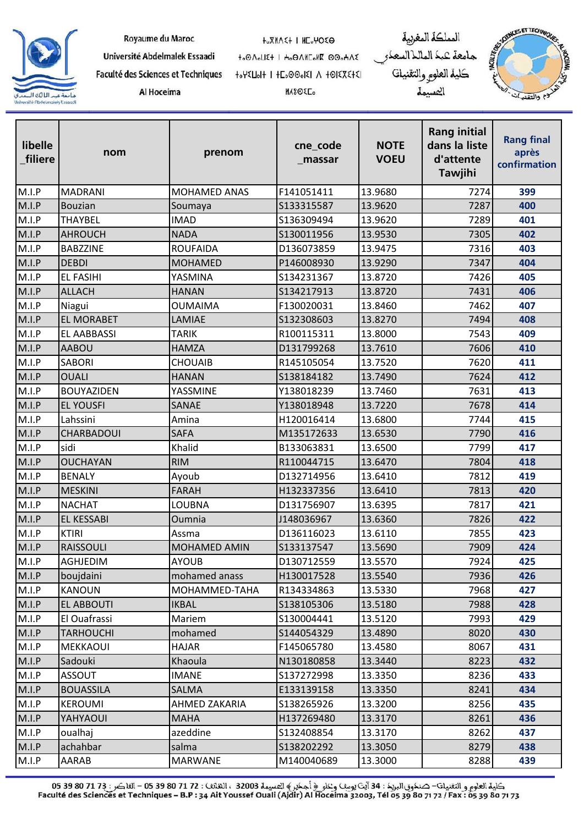

| Royaume du Maroc |  |  |
|------------------|--|--|
|------------------|--|--|

**HOXMASH I HEOMOSO** 

Université Abdelmalek Essaadi

Faculté des Sciences et Techniques Al Hoceima

to OnoLIE+ I Ho ONIColle 00oHAE 

**MASOEL** 

المملكة المغربية جامعة كبك الماللا السعك كلية العلوم والتقنيات العسيمة



| libelle<br>filiere | nom                | prenom              | cne_code<br>massar | <b>NOTE</b><br><b>VOEU</b> | <b>Rang initial</b><br>dans la liste<br>d'attente<br><b>Tawjihi</b> | <b>Rang final</b><br>après<br>confirmation |
|--------------------|--------------------|---------------------|--------------------|----------------------------|---------------------------------------------------------------------|--------------------------------------------|
| M.I.P              | <b>MADRANI</b>     | MOHAMED ANAS        | F141051411         | 13.9680                    | 7274                                                                | 399                                        |
| M.I.P              | <b>Bouzian</b>     | Soumaya             | S133315587         | 13.9620                    | 7287                                                                | 400                                        |
| M.I.P              | <b>THAYBEL</b>     | <b>IMAD</b>         | S136309494         | 13.9620                    | 7289                                                                | 401                                        |
| M.I.P              | <b>AHROUCH</b>     | <b>NADA</b>         | S130011956         | 13.9530                    | 7305                                                                | 402                                        |
| M.I.P              | <b>BABZZINE</b>    | <b>ROUFAIDA</b>     | D136073859         | 13.9475                    | 7316                                                                | 403                                        |
| M.I.P              | <b>DEBDI</b>       | <b>MOHAMED</b>      | P146008930         | 13.9290                    | 7347                                                                | 404                                        |
| M.I.P              | <b>EL FASIHI</b>   | YASMINA             | S134231367         | 13.8720                    | 7426                                                                | 405                                        |
| M.I.P              | <b>ALLACH</b>      | <b>HANAN</b>        | S134217913         | 13.8720                    | 7431                                                                | 406                                        |
| M.I.P              | Niagui             | <b>OUMAIMA</b>      | F130020031         | 13.8460                    | 7462                                                                | 407                                        |
| M.I.P              | <b>EL MORABET</b>  | LAMIAE              | S132308603         | 13.8270                    | 7494                                                                | 408                                        |
| M.I.P              | <b>EL AABBASSI</b> | TARIK               | R100115311         | 13.8000                    | 7543                                                                | 409                                        |
| M.I.P              | <b>AABOU</b>       | <b>HAMZA</b>        | D131799268         | 13.7610                    | 7606                                                                | 410                                        |
| M.I.P              | <b>SABORI</b>      | <b>CHOUAIB</b>      | R145105054         | 13.7520                    | 7620                                                                | 411                                        |
| M.I.P              | <b>OUALI</b>       | <b>HANAN</b>        | S138184182         | 13.7490                    | 7624                                                                | 412                                        |
| M.I.P              | <b>BOUYAZIDEN</b>  | YASSMINE            | Y138018239         | 13.7460                    | 7631                                                                | 413                                        |
| M.I.P              | <b>EL YOUSFI</b>   | SANAE               | Y138018948         | 13.7220                    | 7678                                                                | 414                                        |
| M.I.P              | Lahssini           | Amina               | H120016414         | 13.6800                    | 7744                                                                | 415                                        |
| M.I.P              | CHARBADOUI         | <b>SAFA</b>         | M135172633         | 13.6530                    | 7790                                                                | 416                                        |
| M.I.P              | sidi               | Khalid              | B133063831         | 13.6500                    | 7799                                                                | 417                                        |
| M.I.P              | <b>OUCHAYAN</b>    | <b>RIM</b>          | R110044715         | 13.6470                    | 7804                                                                | 418                                        |
| M.I.P              | <b>BENALY</b>      | Ayoub               | D132714956         | 13.6410                    | 7812                                                                | 419                                        |
| M.I.P              | <b>MESKINI</b>     | <b>FARAH</b>        | H132337356         | 13.6410                    | 7813                                                                | 420                                        |
| M.I.P              | <b>NACHAT</b>      | LOUBNA              | D131756907         | 13.6395                    | 7817                                                                | 421                                        |
| M.I.P              | <b>EL KESSABI</b>  | Oumnia              | J148036967         | 13.6360                    | 7826                                                                | 422                                        |
| M.I.P              | <b>KTIRI</b>       | Assma               | D136116023         | 13.6110                    | 7855                                                                | 423                                        |
| M.I.P              | <b>RAISSOULI</b>   | <b>MOHAMED AMIN</b> | S133137547         | 13.5690                    | 7909                                                                | 424                                        |
| M.I.P              | AGHJEDIM           | <b>AYOUB</b>        | D130712559         | 13.5570                    | 7924                                                                | 425                                        |
| M.I.P              | boujdaini          | mohamed anass       | H130017528         | 13.5540                    | 7936                                                                | 426                                        |
| M.I.P              | <b>KANOUN</b>      | MOHAMMED-TAHA       | R134334863         | 13.5330                    | 7968                                                                | 427                                        |
| M.I.P              | <b>EL ABBOUTI</b>  | <b>IKBAL</b>        | S138105306         | 13.5180                    | 7988                                                                | 428                                        |
| M.I.P              | El Ouafrassi       | Mariem              | S130004441         | 13.5120                    | 7993                                                                | 429                                        |
| M.I.P              | <b>TARHOUCHI</b>   | mohamed             | S144054329         | 13.4890                    | 8020                                                                | 430                                        |
| M.I.P              | <b>MEKKAOUI</b>    | <b>HAJAR</b>        | F145065780         | 13.4580                    | 8067                                                                | 431                                        |
| M.I.P              | Sadouki            | Khaoula             | N130180858         | 13.3440                    | 8223                                                                | 432                                        |
| M.I.P              | <b>ASSOUT</b>      | <b>IMANE</b>        | S137272998         | 13.3350                    | 8236                                                                | 433                                        |
| M.I.P              | <b>BOUASSILA</b>   | SALMA               | E133139158         | 13.3350                    | 8241                                                                | 434                                        |
| M.I.P              | <b>KEROUMI</b>     | AHMED ZAKARIA       | S138265926         | 13.3200                    | 8256                                                                | 435                                        |
| M.I.P              | YAHYAOUI           | <b>MAHA</b>         | H137269480         | 13.3170                    | 8261                                                                | 436                                        |
| M.I.P              | oualhaj            | azeddine            | S132408854         | 13.3170                    | 8262                                                                | 437                                        |
| M.I.P              | achahbar           | salma               | S138202292         | 13.3050                    | 8279                                                                | 438                                        |
| M.I.P              | AARAB              | <b>MARWANE</b>      | M140040689         | 13.3000                    | 8288                                                                | 439                                        |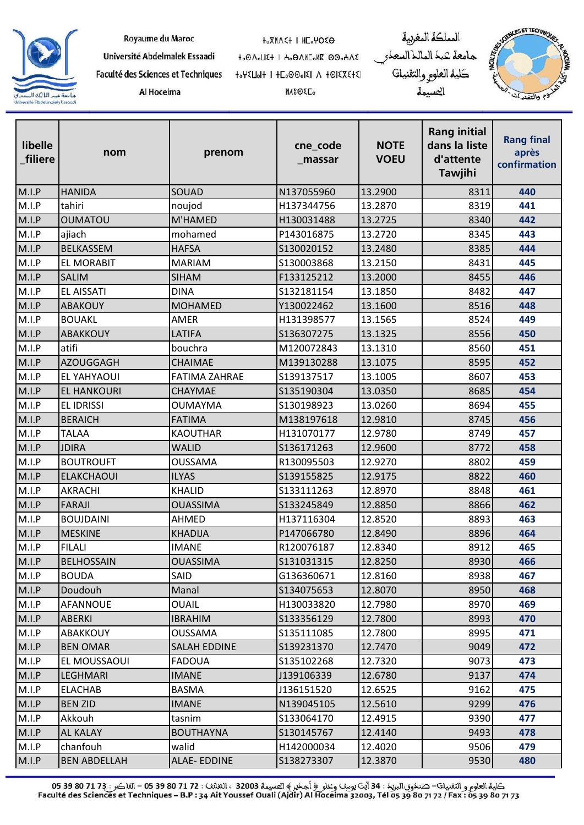

|  | Royaume du Maroc |
|--|------------------|
|  |                  |

Al Hoceima

**HOXMASH I HEOMOSO** 

**MASOEL** 

to OnoLIE+ I Ho ONIColle 00oHAE 

المملكة المغربية جامعة عبد الماللاالسعدر<br>كلية العلو<sub>كر</sub> والتقنيات المسيمة



| libelle<br>filiere | nom                 | prenom               | cne_code<br>_massar | <b>NOTE</b><br><b>VOEU</b> | <b>Rang initial</b><br>dans la liste<br>d'attente<br><b>Tawjihi</b> | <b>Rang final</b><br>après<br>confirmation |
|--------------------|---------------------|----------------------|---------------------|----------------------------|---------------------------------------------------------------------|--------------------------------------------|
| M.I.P              | <b>HANIDA</b>       | SOUAD                | N137055960          | 13.2900                    | 8311                                                                | 440                                        |
| M.I.P              | tahiri              | noujod               | H137344756          | 13.2870                    | 8319                                                                | 441                                        |
| M.I.P              | <b>OUMATOU</b>      | M'HAMED              | H130031488          | 13.2725                    | 8340                                                                | 442                                        |
| M.I.P              | ajiach              | mohamed              | P143016875          | 13.2720                    | 8345                                                                | 443                                        |
| M.I.P              | <b>BELKASSEM</b>    | <b>HAFSA</b>         | S130020152          | 13.2480                    | 8385                                                                | 444                                        |
| M.I.P              | <b>EL MORABIT</b>   | <b>MARIAM</b>        | S130003868          | 13.2150                    | 8431                                                                | 445                                        |
| M.I.P              | <b>SALIM</b>        | <b>SIHAM</b>         | F133125212          | 13.2000                    | 8455                                                                | 446                                        |
| M.I.P              | <b>EL AISSATI</b>   | <b>DINA</b>          | S132181154          | 13.1850                    | 8482                                                                | 447                                        |
| M.I.P              | <b>ABAKOUY</b>      | <b>MOHAMED</b>       | Y130022462          | 13.1600                    | 8516                                                                | 448                                        |
| M.I.P              | <b>BOUAKL</b>       | AMER                 | H131398577          | 13.1565                    | 8524                                                                | 449                                        |
| M.I.P              | ABAKKOUY            | <b>LATIFA</b>        | S136307275          | 13.1325                    | 8556                                                                | 450                                        |
| M.I.P              | atifi               | bouchra              | M120072843          | 13.1310                    | 8560                                                                | 451                                        |
| M.I.P              | AZOUGGAGH           | <b>CHAIMAE</b>       | M139130288          | 13.1075                    | 8595                                                                | 452                                        |
| M.I.P              | <b>EL YAHYAOUI</b>  | <b>FATIMA ZAHRAE</b> | S139137517          | 13.1005                    | 8607                                                                | 453                                        |
| M.I.P              | <b>EL HANKOURI</b>  | CHAYMAE              | S135190304          | 13.0350                    | 8685                                                                | 454                                        |
| M.I.P              | <b>EL IDRISSI</b>   | <b>OUMAYMA</b>       | S130198923          | 13.0260                    | 8694                                                                | 455                                        |
| M.I.P              | <b>BERAICH</b>      | <b>FATIMA</b>        | M138197618          | 12.9810                    | 8745                                                                | 456                                        |
| M.I.P              | <b>TALAA</b>        | <b>KAOUTHAR</b>      | H131070177          | 12.9780                    | 8749                                                                | 457                                        |
| M.I.P              | <b>JDIRA</b>        | <b>WALID</b>         | S136171263          | 12.9600                    | 8772                                                                | 458                                        |
| M.I.P              | <b>BOUTROUFT</b>    | <b>OUSSAMA</b>       | R130095503          | 12.9270                    | 8802                                                                | 459                                        |
| M.I.P              | <b>ELAKCHAOUI</b>   | <b>ILYAS</b>         | S139155825          | 12.9175                    | 8822                                                                | 460                                        |
| M.I.P              | <b>AKRACHI</b>      | <b>KHALID</b>        | S133111263          | 12.8970                    | 8848                                                                | 461                                        |
| M.I.P              | <b>FARAJI</b>       | <b>OUASSIMA</b>      | S133245849          | 12.8850                    | 8866                                                                | 462                                        |
| M.I.P              | <b>BOUJDAINI</b>    | AHMED                | H137116304          | 12.8520                    | 8893                                                                | 463                                        |
| M.I.P              | <b>MESKINE</b>      | <b>KHADIJA</b>       | P147066780          | 12.8490                    | 8896                                                                | 464                                        |
| M.I.P              | <b>FILALI</b>       | <b>IMANE</b>         | R120076187          | 12.8340                    | 8912                                                                | 465                                        |
| M.I.P              | BELHOSSAIN          | <b>OUASSIMA</b>      | S131031315          | 12.8250                    | 8930                                                                | 466                                        |
| M.I.P              | <b>BOUDA</b>        | SAID                 | G136360671          | 12.8160                    | 8938                                                                | 467                                        |
| M.I.P              | Doudouh             | Manal                | S134075653          | 12.8070                    | 8950                                                                | 468                                        |
| M.I.P              | AFANNOUE            | <b>OUAIL</b>         | H130033820          | 12.7980                    | 8970                                                                | 469                                        |
| M.I.P              | <b>ABERKI</b>       | <b>IBRAHIM</b>       | S133356129          | 12.7800                    | 8993                                                                | 470                                        |
| M.I.P              | ABAKKOUY            | <b>OUSSAMA</b>       | S135111085          | 12.7800                    | 8995                                                                | 471                                        |
| M.I.P              | <b>BEN OMAR</b>     | <b>SALAH EDDINE</b>  | S139231370          | 12.7470                    | 9049                                                                | 472                                        |
| M.I.P              | EL MOUSSAOUI        | <b>FADOUA</b>        | S135102268          | 12.7320                    | 9073                                                                | 473                                        |
| M.I.P              | <b>LEGHMARI</b>     | <b>IMANE</b>         | J139106339          | 12.6780                    | 9137                                                                | 474                                        |
| M.I.P              | <b>ELACHAB</b>      | <b>BASMA</b>         | J136151520          | 12.6525                    | 9162                                                                | 475                                        |
| M.I.P              | <b>BEN ZID</b>      | <b>IMANE</b>         | N139045105          | 12.5610                    | 9299                                                                | 476                                        |
| M.I.P              | Akkouh              | tasnim               | S133064170          | 12.4915                    | 9390                                                                | 477                                        |
| M.I.P              | <b>AL KALAY</b>     | <b>BOUTHAYNA</b>     | S130145767          | 12.4140                    | 9493                                                                | 478                                        |
| M.I.P              | chanfouh            | walid                | H142000034          | 12.4020                    | 9506                                                                | 479                                        |
| M.I.P              | <b>BEN ABDELLAH</b> | ALAE-EDDINE          | S138273307          | 12.3870                    | 9530                                                                | 480                                        |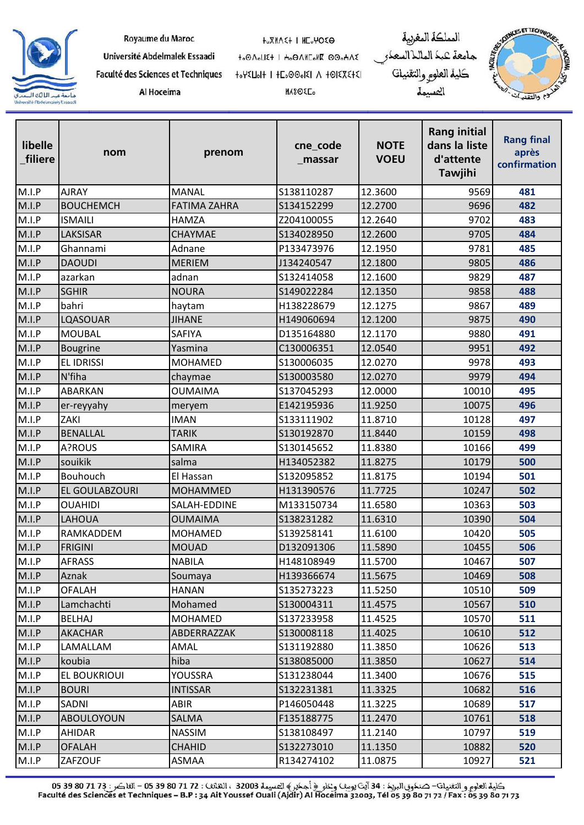

| Royaume du Maroc |  |  |
|------------------|--|--|
|------------------|--|--|

Al Hoceima

**HOXMASH I HEOMOSO** 

**MASOEL** 

to OnoLIE+ I Ho ONIColle 00oHAE 

المملكة المغربية جامعة عبد الماللاالسعدر<br>كلية العلو<sub>كر</sub> والتقنيات المسيمة



| libelle<br>filiere | nom               | prenom              | cne_code<br>_massar | <b>NOTE</b><br><b>VOEU</b> | <b>Rang initial</b><br>dans la liste<br>d'attente<br><b>Tawjihi</b> | <b>Rang final</b><br>après<br>confirmation |
|--------------------|-------------------|---------------------|---------------------|----------------------------|---------------------------------------------------------------------|--------------------------------------------|
| M.I.P              | <b>AJRAY</b>      | <b>MANAL</b>        | S138110287          | 12.3600                    | 9569                                                                | 481                                        |
| M.I.P              | <b>BOUCHEMCH</b>  | <b>FATIMA ZAHRA</b> | S134152299          | 12.2700                    | 9696                                                                | 482                                        |
| M.I.P              | <b>ISMAILI</b>    | <b>HAMZA</b>        | Z204100055          | 12.2640                    | 9702                                                                | 483                                        |
| M.I.P              | LAKSISAR          | CHAYMAE             | S134028950          | 12.2600                    | 9705                                                                | 484                                        |
| M.I.P              | Ghannami          | Adnane              | P133473976          | 12.1950                    | 9781                                                                | 485                                        |
| M.I.P              | <b>DAOUDI</b>     | <b>MERIEM</b>       | J134240547          | 12.1800                    | 9805                                                                | 486                                        |
| M.I.P              | azarkan           | adnan               | S132414058          | 12.1600                    | 9829                                                                | 487                                        |
| M.I.P              | <b>SGHIR</b>      | <b>NOURA</b>        | S149022284          | 12.1350                    | 9858                                                                | 488                                        |
| M.I.P              | bahri             | haytam              | H138228679          | 12.1275                    | 9867                                                                | 489                                        |
| M.I.P              | LQASOUAR          | <b>JIHANE</b>       | H149060694          | 12.1200                    | 9875                                                                | 490                                        |
| M.I.P              | <b>MOUBAL</b>     | SAFIYA              | D135164880          | 12.1170                    | 9880                                                                | 491                                        |
| M.I.P              | <b>Bougrine</b>   | Yasmina             | C130006351          | 12.0540                    | 9951                                                                | 492                                        |
| M.I.P              | <b>EL IDRISSI</b> | <b>MOHAMED</b>      | S130006035          | 12.0270                    | 9978                                                                | 493                                        |
| M.I.P              | N'fiha            | chaymae             | S130003580          | 12.0270                    | 9979                                                                | 494                                        |
| M.I.P              | ABARKAN           | <b>OUMAIMA</b>      | S137045293          | 12.0000                    | 10010                                                               | 495                                        |
| M.I.P              | er-reyyahy        | meryem              | E142195936          | 11.9250                    | 10075                                                               | 496                                        |
| M.I.P              | ZAKI              | <b>IMAN</b>         | S133111902          | 11.8710                    | 10128                                                               | 497                                        |
| M.I.P              | <b>BENALLAL</b>   | <b>TARIK</b>        | S130192870          | 11.8440                    | 10159                                                               | 498                                        |
| M.I.P              | A?ROUS            | SAMIRA              | S130145652          | 11.8380                    | 10166                                                               | 499                                        |
| M.I.P              | souikik           | salma               | H134052382          | 11.8275                    | 10179                                                               | 500                                        |
| M.I.P              | Bouhouch          | El Hassan           | S132095852          | 11.8175                    | 10194                                                               | 501                                        |
| M.I.P              | EL GOULABZOURI    | <b>MOHAMMED</b>     | H131390576          | 11.7725                    | 10247                                                               | 502                                        |
| M.I.P              | <b>OUAHIDI</b>    | SALAH-EDDINE        | M133150734          | 11.6580                    | 10363                                                               | 503                                        |
| M.I.P              | <b>LAHOUA</b>     | <b>OUMAIMA</b>      | S138231282          | 11.6310                    | 10390                                                               | 504                                        |
| M.I.P              | RAMKADDEM         | <b>MOHAMED</b>      | S139258141          | 11.6100                    | 10420                                                               | 505                                        |
| M.I.P              | <b>FRIGINI</b>    | <b>MOUAD</b>        | D132091306          | 11.5890                    | 10455                                                               | 506                                        |
| M.I.P              | AFRASS            | <b>NABILA</b>       | H148108949          | 11.5700                    | 10467                                                               | 507                                        |
| M.I.P              | Aznak             | Soumaya             | H139366674          | 11.5675                    | 10469                                                               | 508                                        |
| M.I.P              | <b>OFALAH</b>     | <b>HANAN</b>        | S135273223          | 11.5250                    | 10510                                                               | 509                                        |
| M.I.P              | Lamchachti        | Mohamed             | S130004311          | 11.4575                    | 10567                                                               | 510                                        |
| M.I.P              | <b>BELHAJ</b>     | <b>MOHAMED</b>      | S137233958          | 11.4525                    | 10570                                                               | 511                                        |
| M.I.P              | <b>AKACHAR</b>    | ABDERRAZZAK         | S130008118          | 11.4025                    | 10610                                                               | 512                                        |
| M.I.P              | LAMALLAM          | AMAL                | S131192880          | 11.3850                    | 10626                                                               | 513                                        |
| M.I.P              | koubia            | hiba                | S138085000          | 11.3850                    | 10627                                                               | 514                                        |
| M.I.P              | EL BOUKRIOUI      | YOUSSRA             | S131238044          | 11.3400                    | 10676                                                               | 515                                        |
| M.I.P              | <b>BOURI</b>      | <b>INTISSAR</b>     | S132231381          | 11.3325                    | 10682                                                               | 516                                        |
| M.I.P              | SADNI             | ABIR                | P146050448          | 11.3225                    | 10689                                                               | 517                                        |
| M.I.P              | <b>ABOULOYOUN</b> | SALMA               | F135188775          | 11.2470                    | 10761                                                               | 518                                        |
| M.I.P              | <b>AHIDAR</b>     | <b>NASSIM</b>       | S138108497          | 11.2140                    | 10797                                                               | 519                                        |
| M.I.P              | <b>OFALAH</b>     | <b>CHAHID</b>       | S132273010          | 11.1350                    | 10882                                                               | 520                                        |
| M.I.P              | ZAFZOUF           | ASMAA               | R134274102          | 11.0875                    | 10927                                                               | 521                                        |